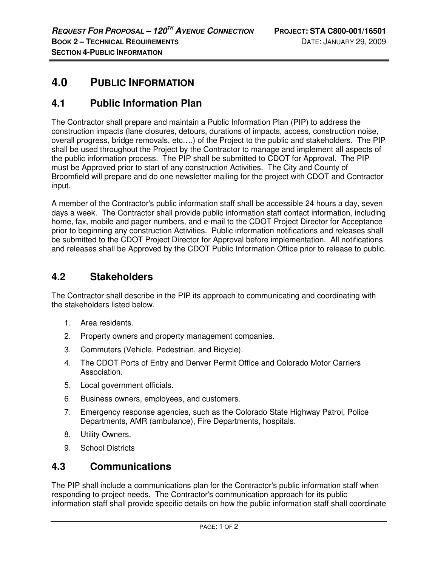# **4.0 PUBLIC INFORMATION**

## **4.1 Public Information Plan**

The Contractor shall prepare and maintain a Public Information Plan (PIP) to address the construction impacts (lane closures, detours, durations of impacts, access, construction noise, overall progress, bridge removals, etc….) of the Project to the public and stakeholders. The PIP shall be used throughout the Project by the Contractor to manage and implement all aspects of the public information process. The PIP shall be submitted to CDOT for Approval. The PIP must be Approved prior to start of any construction Activities. The City and County of Broomfield will prepare and do one newsletter mailing for the project with CDOT and Contractor input.

A member of the Contractor's public information staff shall be accessible 24 hours a day, seven days a week. The Contractor shall provide public information staff contact information, including home, fax, mobile and pager numbers, and e-mail to the CDOT Project Director for Acceptance prior to beginning any construction Activities. Public information notifications and releases shall be submitted to the CDOT Project Director for Approval before implementation. All notifications and releases shall be Approved by the CDOT Public Information Office prior to release to public.

### **4.2 Stakeholders**

The Contractor shall describe in the PIP its approach to communicating and coordinating with the stakeholders listed below.

- 1. Area residents.
- 2. Property owners and property management companies.
- 3. Commuters (Vehicle, Pedestrian, and Bicycle).
- 4. The CDOT Ports of Entry and Denver Permit Office and Colorado Motor Carriers Association.
- 5. Local government officials.
- 6. Business owners, employees, and customers.
- 7. Emergency response agencies, such as the Colorado State Highway Patrol, Police Departments, AMR (ambulance), Fire Departments, hospitals.
- 8. Utility Owners.
- 9. School Districts

#### **4.3 Communications**

The PIP shall include a communications plan for the Contractor's public information staff when responding to project needs. The Contractor's communication approach for its public information staff shall provide specific details on how the public information staff shall coordinate